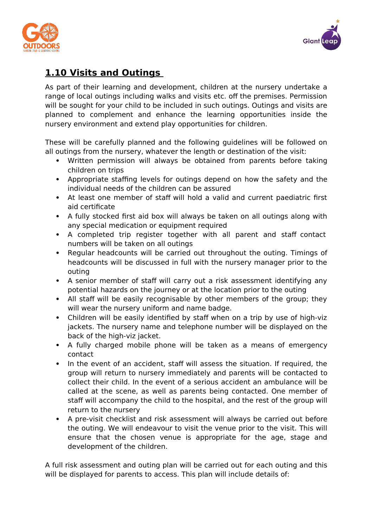



## **1.10 Visits and Outings**

As part of their learning and development, children at the nursery undertake a range of local outings including walks and visits etc. off the premises. Permission will be sought for your child to be included in such outings. Outings and visits are planned to complement and enhance the learning opportunities inside the nursery environment and extend play opportunities for children.

These will be carefully planned and the following guidelines will be followed on all outings from the nursery, whatever the length or destination of the visit:

- Written permission will always be obtained from parents before taking children on trips
- Appropriate staffing levels for outings depend on how the safety and the individual needs of the children can be assured
- At least one member of staff will hold a valid and current paediatric first aid certificate
- A fully stocked first aid box will always be taken on all outings along with any special medication or equipment required
- A completed trip register together with all parent and staff contact numbers will be taken on all outings
- Regular headcounts will be carried out throughout the outing. Timings of headcounts will be discussed in full with the nursery manager prior to the outing
- A senior member of staff will carry out a risk assessment identifying any potential hazards on the journey or at the location prior to the outing
- All staff will be easily recognisable by other members of the group; they will wear the nursery uniform and name badge.
- Children will be easily identified by staff when on a trip by use of high-viz jackets. The nursery name and telephone number will be displayed on the back of the high-viz jacket.
- A fully charged mobile phone will be taken as a means of emergency contact
- In the event of an accident, staff will assess the situation. If required, the group will return to nursery immediately and parents will be contacted to collect their child. In the event of a serious accident an ambulance will be called at the scene, as well as parents being contacted. One member of staff will accompany the child to the hospital, and the rest of the group will return to the nursery
- A pre-visit checklist and risk assessment will always be carried out before the outing. We will endeavour to visit the venue prior to the visit. This will ensure that the chosen venue is appropriate for the age, stage and development of the children.

A full risk assessment and outing plan will be carried out for each outing and this will be displayed for parents to access. This plan will include details of: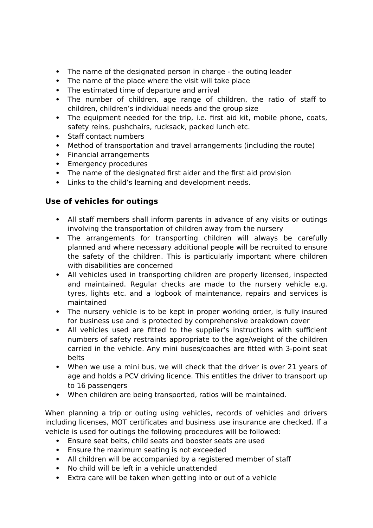- The name of the designated person in charge the outing leader
- The name of the place where the visit will take place
- The estimated time of departure and arrival
- The number of children, age range of children, the ratio of staff to children, children's individual needs and the group size
- The equipment needed for the trip, i.e. first aid kit, mobile phone, coats, safety reins, pushchairs, rucksack, packed lunch etc.
- Staff contact numbers
- Method of transportation and travel arrangements (including the route)
- Financial arrangements
- Emergency procedures
- The name of the designated first aider and the first aid provision
- Links to the child's learning and development needs.

## **Use of vehicles for outings**

- All staff members shall inform parents in advance of any visits or outings involving the transportation of children away from the nursery
- The arrangements for transporting children will always be carefully planned and where necessary additional people will be recruited to ensure the safety of the children. This is particularly important where children with disabilities are concerned
- All vehicles used in transporting children are properly licensed, inspected and maintained. Regular checks are made to the nursery vehicle e.g. tyres, lights etc. and a logbook of maintenance, repairs and services is maintained
- The nursery vehicle is to be kept in proper working order, is fully insured for business use and is protected by comprehensive breakdown cover
- All vehicles used are fitted to the supplier's instructions with sufficient numbers of safety restraints appropriate to the age/weight of the children carried in the vehicle. Any mini buses/coaches are fitted with 3-point seat belts
- When we use a mini bus, we will check that the driver is over 21 years of age and holds a PCV driving licence. This entitles the driver to transport up to 16 passengers
- When children are being transported, ratios will be maintained.

When planning a trip or outing using vehicles, records of vehicles and drivers including licenses, MOT certificates and business use insurance are checked. If a vehicle is used for outings the following procedures will be followed:

- Ensure seat belts, child seats and booster seats are used
- Ensure the maximum seating is not exceeded
- All children will be accompanied by a registered member of staff
- No child will be left in a vehicle unattended
- Extra care will be taken when getting into or out of a vehicle